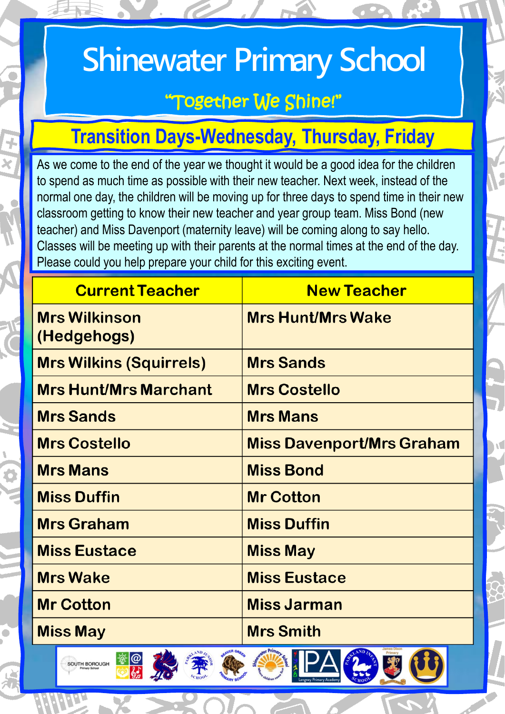# **Shinewater Primary School**

# "Together We Shine!"

# **Transition Days-Wednesday, Thursday, Friday**

As we come to the end of the year we thought it would be a good idea for the children to spend as much time as possible with their new teacher. Next week, instead of the normal one day, the children will be moving up for three days to spend time in their new classroom getting to know their new teacher and year group team. Miss Bond (new teacher) and Miss Davenport (maternity leave) will be coming along to say hello. Classes will be meeting up with their parents at the normal times at the end of the day. Please could you help prepare your child for this exciting event.

| <b>Current Teacher</b>                                                                       | <b>New Teacher</b>               |
|----------------------------------------------------------------------------------------------|----------------------------------|
| <b>Mrs Wilkinson</b><br>(Hedgehogs)                                                          | <b>Mrs Hunt/Mrs Wake</b>         |
| <b>Mrs Wilkins (Squirrels)</b>                                                               | <b>Mrs Sands</b>                 |
| <b>Mrs Hunt/Mrs Marchant</b>                                                                 | <b>Mrs Costello</b>              |
| <b>Mrs Sands</b>                                                                             | <b>Mrs Mans</b>                  |
| <b>Mrs Costello</b>                                                                          | <b>Miss Davenport/Mrs Graham</b> |
| <b>Mrs Mans</b>                                                                              | <b>Miss Bond</b>                 |
| <b>Miss Duffin</b>                                                                           | <b>Mr Cotton</b>                 |
| <b>Mrs Graham</b>                                                                            | <b>Miss Duffin</b>               |
| <b>Miss Eustace</b>                                                                          | <b>Miss May</b>                  |
| <b>Mrs Wake</b>                                                                              | <b>Miss Eustace</b>              |
| <b>Mr Cotton</b>                                                                             | <b>Miss Jarman</b>               |
| <b>Miss May</b>                                                                              | <b>Mrs Smith</b>                 |
| oter Primary<br>LAND IN<br>AVER GREE<br>$\Lambda N D J_L$<br><b>IN A</b><br>A<br>$\sqrt{11}$ |                                  |

**BE SALE** 

SOUTH BOROUGH

FEGGHAGEO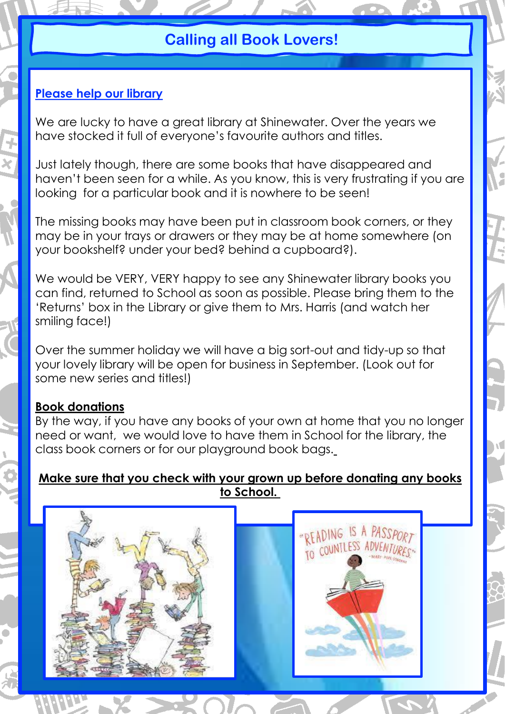## **Calling all Book Lovers!**

### **Please help our library**

We are lucky to have a great library at Shinewater. Over the years we have stocked it full of everyone's favourite authors and titles.

Just lately though, there are some books that have disappeared and haven't been seen for a while. As you know, this is very frustrating if you are looking for a particular book and it is nowhere to be seen!

The missing books may have been put in classroom book corners, or they may be in your trays or drawers or they may be at home somewhere (on your bookshelf? under your bed? behind a cupboard?).

We would be VERY, VERY happy to see any Shinewater library books you can find, returned to School as soon as possible. Please bring them to the 'Returns' box in the Library or give them to Mrs. Harris (and watch her smiling face!)

Over the summer holiday we will have a big sort-out and tidy-up so that your lovely library will be open for business in September. (Look out for some new series and titles!)

#### **Book donations**

By the way, if you have any books of your own at home that you no longer need or want, we would love to have them in School for the library, the class book corners or for our playground book bags.

#### **Make sure that you check with your grown up before donating any books to School.**